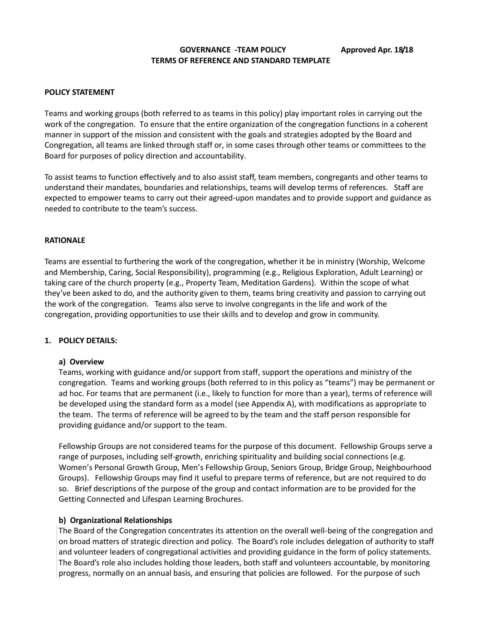## **GOVERNANCE -TEAM POLICY Approved Apr. 18/18 TERMS OF REFERENCE AND STANDARD TEMPLATE**

#### **POLICY STATEMENT**

Teams and working groups (both referred to as teams in this policy) play important roles in carrying out the work of the congregation. To ensure that the entire organization of the congregation functions in a coherent manner in support of the mission and consistent with the goals and strategies adopted by the Board and Congregation, all teams are linked through staff or, in some cases through other teams or committees to the Board for purposes of policy direction and accountability.

To assist teams to function effectively and to also assist staff, team members, congregants and other teams to understand their mandates, boundaries and relationships, teams will develop terms of references. Staff are expected to empower teams to carry out their agreed-upon mandates and to provide support and guidance as needed to contribute to the team's success.

#### **RATIONALE**

Teams are essential to furthering the work of the congregation, whether it be in ministry (Worship, Welcome and Membership, Caring, Social Responsibility), programming (e.g., Religious Exploration, Adult Learning) or taking care of the church property (e.g., Property Team, Meditation Gardens). Within the scope of what they've been asked to do, and the authority given to them, teams bring creativity and passion to carrying out the work of the congregation. Teams also serve to involve congregants in the life and work of the congregation, providing opportunities to use their skills and to develop and grow in community.

#### **1. POLICY DETAILS:**

#### **a) Overview**

Teams, working with guidance and/or support from staff, support the operations and ministry of the congregation. Teams and working groups (both referred to in this policy as "teams") may be permanent or ad hoc. For teams that are permanent (i.e., likely to function for more than a year), terms of reference will be developed using the standard form as a model (see Appendix A), with modifications as appropriate to the team. The terms of reference will be agreed to by the team and the staff person responsible for providing guidance and/or support to the team.

Fellowship Groups are not considered teams for the purpose of this document. Fellowship Groups serve a range of purposes, including self-growth, enriching spirituality and building social connections (e.g. Women's Personal Growth Group, Men's Fellowship Group, Seniors Group, Bridge Group, Neighbourhood Groups). Fellowship Groups may find it useful to prepare terms of reference, but are not required to do so. Brief descriptions of the purpose of the group and contact information are to be provided for the Getting Connected and Lifespan Learning Brochures.

## **b) Organizational Relationships**

The Board of the Congregation concentrates its attention on the overall well-being of the congregation and on broad matters of strategic direction and policy. The Board's role includes delegation of authority to staff and volunteer leaders of congregational activities and providing guidance in the form of policy statements. The Board's role also includes holding those leaders, both staff and volunteers accountable, by monitoring progress, normally on an annual basis, and ensuring that policies are followed. For the purpose of such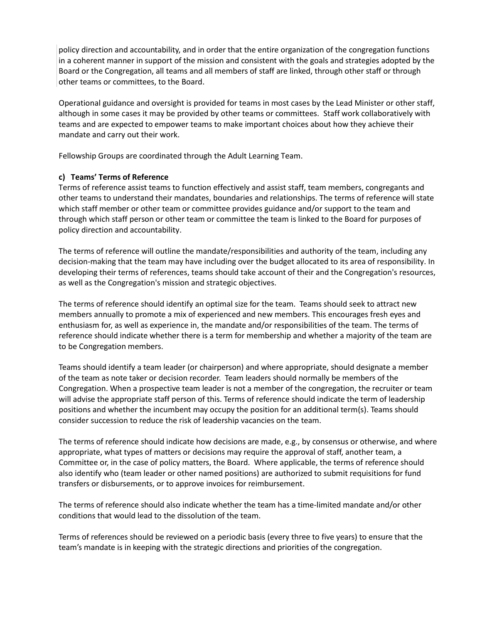policy direction and accountability, and in order that the entire organization of the congregation functions in a coherent manner in support of the mission and consistent with the goals and strategies adopted by the Board or the Congregation, all teams and all members of staff are linked, through other staff or through other teams or committees, to the Board.

Operational guidance and oversight is provided for teams in most cases by the Lead Minister or other staff, although in some cases it may be provided by other teams or committees. Staff work collaboratively with teams and are expected to empower teams to make important choices about how they achieve their mandate and carry out their work.

Fellowship Groups are coordinated through the Adult Learning Team.

# **c) Teams' Terms of Reference**

Terms of reference assist teams to function effectively and assist staff, team members, congregants and other teams to understand their mandates, boundaries and relationships. The terms of reference will state which staff member or other team or committee provides guidance and/or support to the team and through which staff person or other team or committee the team is linked to the Board for purposes of policy direction and accountability.

The terms of reference will outline the mandate/responsibilities and authority of the team, including any decision-making that the team may have including over the budget allocated to its area of responsibility. In developing their terms of references, teams should take account of their and the Congregation's resources, as well as the Congregation's mission and strategic objectives.

The terms of reference should identify an optimal size for the team. Teams should seek to attract new members annually to promote a mix of experienced and new members. This encourages fresh eyes and enthusiasm for, as well as experience in, the mandate and/or responsibilities of the team. The terms of reference should indicate whether there is a term for membership and whether a majority of the team are to be Congregation members.

Teams should identify a team leader (or chairperson) and where appropriate, should designate a member of the team as note taker or decision recorder. Team leaders should normally be members of the Congregation. When a prospective team leader is not a member of the congregation, the recruiter or team will advise the appropriate staff person of this. Terms of reference should indicate the term of leadership positions and whether the incumbent may occupy the position for an additional term(s). Teams should consider succession to reduce the risk of leadership vacancies on the team.

The terms of reference should indicate how decisions are made, e.g., by consensus or otherwise, and where appropriate, what types of matters or decisions may require the approval of staff, another team, a Committee or, in the case of policy matters, the Board. Where applicable, the terms of reference should also identify who (team leader or other named positions) are authorized to submit requisitions for fund transfers or disbursements, or to approve invoices for reimbursement.

The terms of reference should also indicate whether the team has a time-limited mandate and/or other conditions that would lead to the dissolution of the team.

Terms of references should be reviewed on a periodic basis (every three to five years) to ensure that the team's mandate is in keeping with the strategic directions and priorities of the congregation.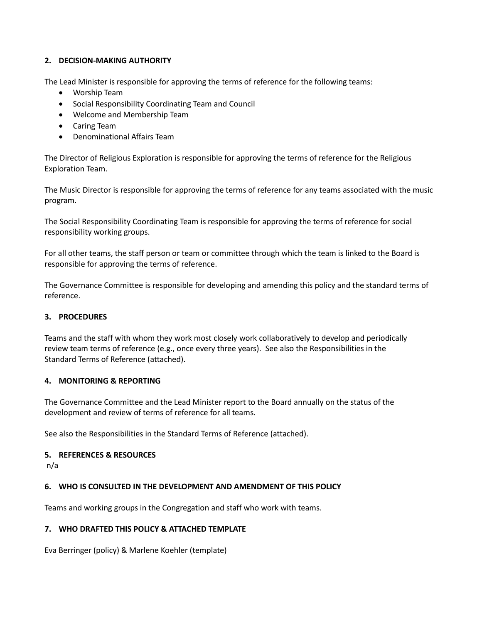# **2. DECISION-MAKING AUTHORITY**

The Lead Minister is responsible for approving the terms of reference for the following teams:

- Worship Team
- Social Responsibility Coordinating Team and Council
- Welcome and Membership Team
- Caring Team
- Denominational Affairs Team

The Director of Religious Exploration is responsible for approving the terms of reference for the Religious Exploration Team.

The Music Director is responsible for approving the terms of reference for any teams associated with the music program.

The Social Responsibility Coordinating Team is responsible for approving the terms of reference for social responsibility working groups.

For all other teams, the staff person or team or committee through which the team is linked to the Board is responsible for approving the terms of reference.

The Governance Committee is responsible for developing and amending this policy and the standard terms of reference.

## **3. PROCEDURES**

Teams and the staff with whom they work most closely work collaboratively to develop and periodically review team terms of reference (e.g., once every three years). See also the Responsibilities in the Standard Terms of Reference (attached).

## **4. MONITORING & REPORTING**

The Governance Committee and the Lead Minister report to the Board annually on the status of the development and review of terms of reference for all teams.

See also the Responsibilities in the Standard Terms of Reference (attached).

## **5. REFERENCES & RESOURCES**

n/a

# **6. WHO IS CONSULTED IN THE DEVELOPMENT AND AMENDMENT OF THIS POLICY**

Teams and working groups in the Congregation and staff who work with teams.

# **7. WHO DRAFTED THIS POLICY & ATTACHED TEMPLATE**

Eva Berringer (policy) & Marlene Koehler (template)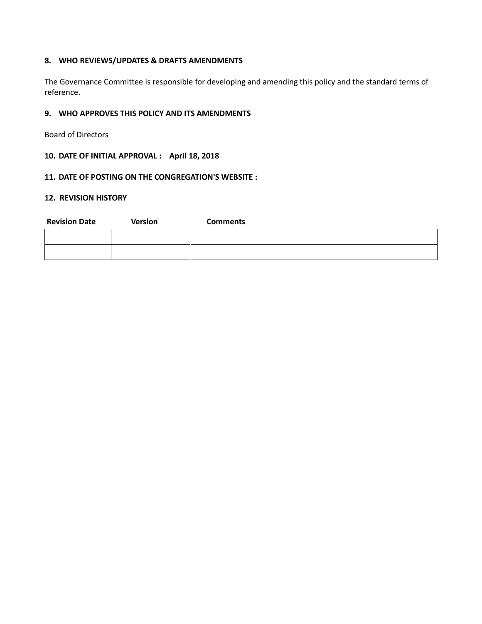## **8. WHO REVIEWS/UPDATES & DRAFTS AMENDMENTS**

The Governance Committee is responsible for developing and amending this policy and the standard terms of reference.

## **9. WHO APPROVES THIS POLICY AND ITS AMENDMENTS**

Board of Directors

# **10. DATE OF INITIAL APPROVAL : April 18, 2018**

#### **11. DATE OF POSTING ON THE CONGREGATION'S WEBSITE :**

#### **12. REVISION HISTORY**

| <b>Revision Date</b> | <b>Version</b> | <b>Comments</b> |
|----------------------|----------------|-----------------|
|                      |                |                 |
|                      |                |                 |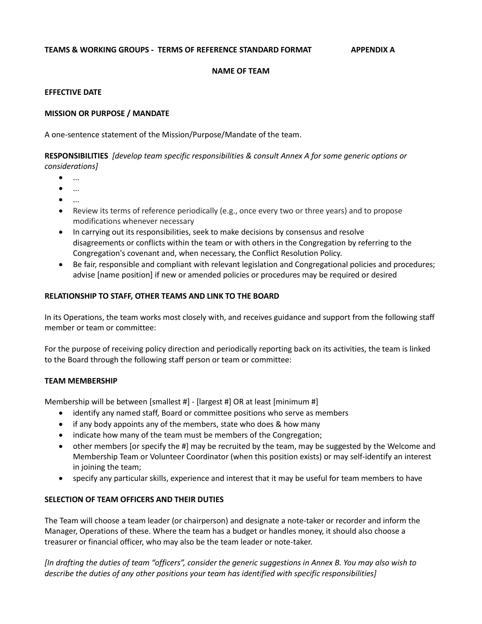#### **NAME OF TEAM**

## **EFFECTIVE DATE**

## **MISSION OR PURPOSE / MANDATE**

A one-sentence statement of the Mission/Purpose/Mandate of the team.

**RESPONSIBILITIES** *[develop team specific responsibilities & consult Annex A for some generic options or considerations]*

 $\bullet$  ...

- $\bullet$  ...
- 
- $\bullet$  ...
- Review its terms of reference periodically (e.g., once every two or three years) and to propose modifications whenever necessary
- In carrying out its responsibilities, seek to make decisions by consensus and resolve disagreements or conflicts within the team or with others in the Congregation by referring to the Congregation's covenant and, when necessary, the Conflict Resolution Policy.
- Be fair, responsible and compliant with relevant legislation and Congregational policies and procedures; advise [name position] if new or amended policies or procedures may be required or desired

## **RELATIONSHIP TO STAFF, OTHER TEAMS AND LINK TO THE BOARD**

In its Operations, the team works most closely with, and receives guidance and support from the following staff member or team or committee:

For the purpose of receiving policy direction and periodically reporting back on its activities, the team is linked to the Board through the following staff person or team or committee:

#### **TEAM MEMBERSHIP**

Membership will be between [smallest #] - [largest #] OR at least [minimum #]

- identify any named staff, Board or committee positions who serve as members
- if any body appoints any of the members, state who does & how many
- indicate how many of the team must be members of the Congregation;
- other members [or specify the #] may be recruited by the team, may be suggested by the Welcome and Membership Team or Volunteer Coordinator (when this position exists) or may self-identify an interest in joining the team;
- specify any particular skills, experience and interest that it may be useful for team members to have

#### **SELECTION OF TEAM OFFICERS AND THEIR DUTIES**

The Team will choose a team leader (or chairperson) and designate a note-taker or recorder and inform the Manager, Operations of these. Where the team has a budget or handles money, it should also choose a treasurer or financial officer, who may also be the team leader or note-taker.

*[In drafting the duties of team "officers", consider the generic suggestions in Annex B. You may also wish to describe the duties of any other positions your team has identified with specific responsibilities]*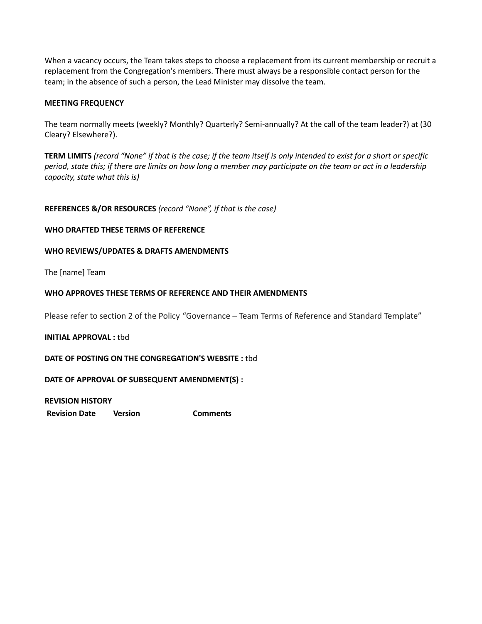When a vacancy occurs, the Team takes steps to choose a replacement from its current membership or recruit a replacement from the Congregation's members. There must always be a responsible contact person for the team; in the absence of such a person, the Lead Minister may dissolve the team.

## **MEETING FREQUENCY**

The team normally meets (weekly? Monthly? Quarterly? Semi-annually? At the call of the team leader?) at (30 Cleary? Elsewhere?).

**TERM LIMITS** *(record "None" if that is the case; if the team itself is only intended to exist for a short or specific period, state this; if there are limits on how long a member may participate on the team or act in a leadership capacity, state what this is)*

#### **REFERENCES &/OR RESOURCES** *(record "None", if that is the case)*

#### **WHO DRAFTED THESE TERMS OF REFERENCE**

#### **WHO REVIEWS/UPDATES & DRAFTS AMENDMENTS**

The [name] Team

#### **WHO APPROVES THESE TERMS OF REFERENCE AND THEIR AMENDMENTS**

Please refer to section 2 of the Policy "Governance – Team Terms of Reference and Standard Template"

#### **INITIAL APPROVAL :** tbd

## **DATE OF POSTING ON THE CONGREGATION'S WEBSITE :** tbd

## **DATE OF APPROVAL OF SUBSEQUENT AMENDMENT(S) :**

**REVISION HISTORY**

**Revision Date Version Comments**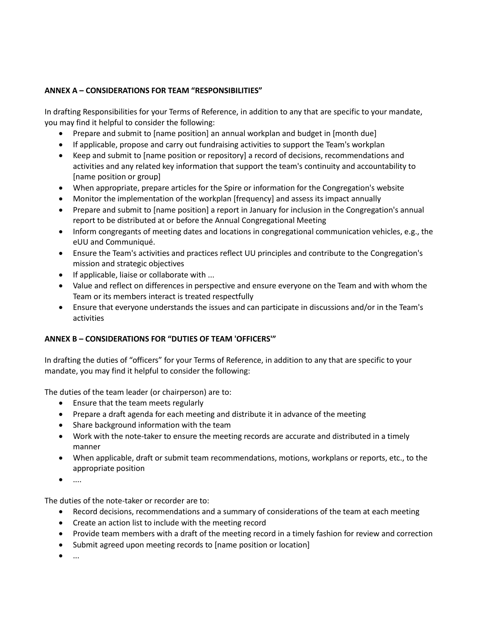# **ANNEX A – CONSIDERATIONS FOR TEAM "RESPONSIBILITIES"**

In drafting Responsibilities for your Terms of Reference, in addition to any that are specific to your mandate, you may find it helpful to consider the following:

- Prepare and submit to [name position] an annual workplan and budget in [month due]
- If applicable, propose and carry out fundraising activities to support the Team's workplan
- Keep and submit to [name position or repository] a record of decisions, recommendations and activities and any related key information that support the team's continuity and accountability to [name position or group]
- When appropriate, prepare articles for the Spire or information for the Congregation's website
- Monitor the implementation of the workplan [frequency] and assess its impact annually
- Prepare and submit to [name position] a report in January for inclusion in the Congregation's annual report to be distributed at or before the Annual Congregational Meeting
- Inform congregants of meeting dates and locations in congregational communication vehicles, e.g., the eUU and Communiqué.
- Ensure the Team's activities and practices reflect UU principles and contribute to the Congregation's mission and strategic objectives
- If applicable, liaise or collaborate with ...
- Value and reflect on differences in perspective and ensure everyone on the Team and with whom the Team or its members interact is treated respectfully
- Ensure that everyone understands the issues and can participate in discussions and/or in the Team's activities

## **ANNEX B – CONSIDERATIONS FOR "DUTIES OF TEAM 'OFFICERS'"**

In drafting the duties of "officers" for your Terms of Reference, in addition to any that are specific to your mandate, you may find it helpful to consider the following:

The duties of the team leader (or chairperson) are to:

- Ensure that the team meets regularly
- Prepare a draft agenda for each meeting and distribute it in advance of the meeting
- Share background information with the team
- Work with the note-taker to ensure the meeting records are accurate and distributed in a timely manner
- When applicable, draft or submit team recommendations, motions, workplans or reports, etc., to the appropriate position
- $\bullet$  ....

The duties of the note-taker or recorder are to:

- Record decisions, recommendations and a summary of considerations of the team at each meeting
- Create an action list to include with the meeting record
- Provide team members with a draft of the meeting record in a timely fashion for review and correction
- Submit agreed upon meeting records to [name position or location]
- $\bullet$  ...